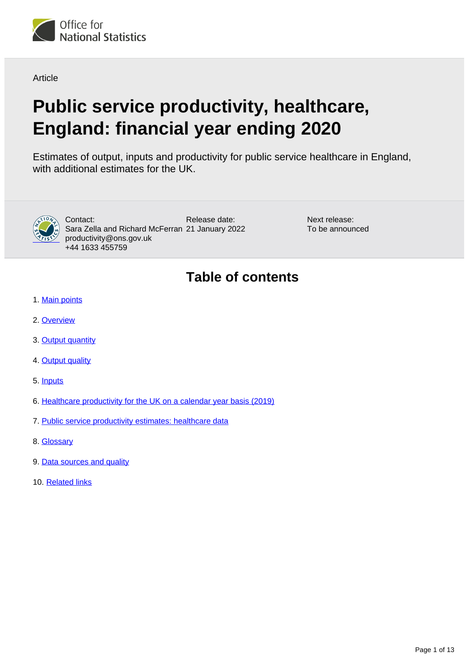

**Article** 

# **Public service productivity, healthcare, England: financial year ending 2020**

Estimates of output, inputs and productivity for public service healthcare in England, with additional estimates for the UK.



Release date: Sara Zella and Richard McFerran 21 January 2022 Contact: productivity@ons.gov.uk +44 1633 455759

Next release: To be announced

# **Table of contents**

- 1. [Main points](#page-1-0)
- 2. [Overview](#page-2-0)
- 3. [Output quantity](#page-5-0)
- 4. [Output quality](#page-7-0)
- 5. [Inputs](#page-8-0)
- 6. [Healthcare productivity for the UK on a calendar year basis \(2019\)](#page-9-0)
- 7. [Public service productivity estimates: healthcare data](#page-10-0)
- 8. [Glossary](#page-10-1)
- 9. [Data sources and quality](#page-10-2)
- 10. [Related links](#page-12-0)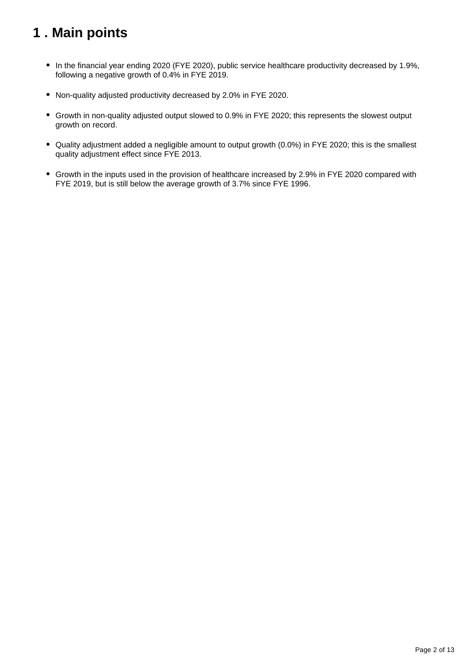# <span id="page-1-0"></span>**1 . Main points**

- In the financial year ending 2020 (FYE 2020), public service healthcare productivity decreased by 1.9%, following a negative growth of 0.4% in FYE 2019.
- Non-quality adjusted productivity decreased by 2.0% in FYE 2020.
- Growth in non-quality adjusted output slowed to 0.9% in FYE 2020; this represents the slowest output growth on record.
- Quality adjustment added a negligible amount to output growth (0.0%) in FYE 2020; this is the smallest quality adjustment effect since FYE 2013.
- Growth in the inputs used in the provision of healthcare increased by 2.9% in FYE 2020 compared with FYE 2019, but is still below the average growth of 3.7% since FYE 1996.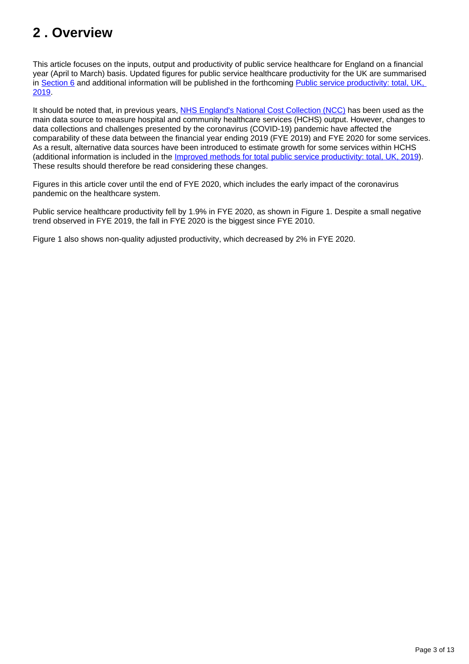# <span id="page-2-0"></span>**2 . Overview**

This article focuses on the inputs, output and productivity of public service healthcare for England on a financial year (April to March) basis. Updated figures for public service healthcare productivity for the UK are summarised in [Section 6](https://www.ons.gov.uk/economy/economicoutputandproductivity/publicservicesproductivity/articles/publicservicesproductivityestimateshealthcare/financialyearending2020#healthcare-productivity-for-the-uk-on-a-calendar-year-basis-2019) and additional information will be published in the forthcoming [Public service productivity: total, UK,](https://www.ons.gov.uk/releases/publicserviceproductivitytotaluk2019)  [2019](https://www.ons.gov.uk/releases/publicserviceproductivitytotaluk2019).

It should be noted that, in previous years, [NHS England's National Cost Collection \(NCC\)](https://www.england.nhs.uk/national-cost-collection/) has been used as the main data source to measure hospital and community healthcare services (HCHS) output. However, changes to data collections and challenges presented by the coronavirus (COVID-19) pandemic have affected the comparability of these data between the financial year ending 2019 (FYE 2019) and FYE 2020 for some services. As a result, alternative data sources have been introduced to estimate growth for some services within HCHS (additional information is included in the [Improved methods for total public service productivity: total, UK, 2019\)](https://www.ons.gov.uk/economy/economicoutputandproductivity/publicservicesproductivity/methodologies/improvedmethodsfortotalpublicserviceproductivitytotaluk2019). These results should therefore be read considering these changes.

Figures in this article cover until the end of FYE 2020, which includes the early impact of the coronavirus pandemic on the healthcare system.

Public service healthcare productivity fell by 1.9% in FYE 2020, as shown in Figure 1. Despite a small negative trend observed in FYE 2019, the fall in FYE 2020 is the biggest since FYE 2010.

Figure 1 also shows non-quality adjusted productivity, which decreased by 2% in FYE 2020.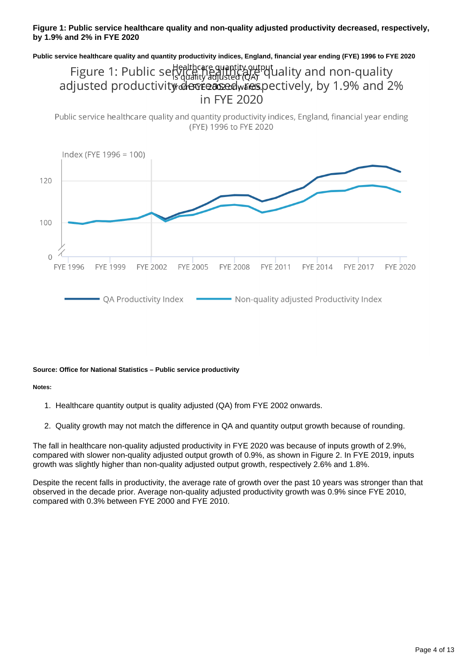#### **Figure 1: Public service healthcare quality and non-quality adjusted productivity decreased, respectively, by 1.9% and 2% in FYE 2020**

**Public service healthcare quality and quantity productivity indices, England, financial year ending (FYE) 1996 to FYE 2020**

### Figure 1: Public service requirity output and non-quality adjusted productivity decreased wies pectively, by 1.9% and 2% in FYE 2020

Public service healthcare quality and quantity productivity indices, England, financial year ending (FYE) 1996 to FYE 2020



#### **Source: Office for National Statistics – Public service productivity**

**Notes:**

- 1. Healthcare quantity output is quality adjusted (QA) from FYE 2002 onwards.
- 2. Quality growth may not match the difference in QA and quantity output growth because of rounding.

The fall in healthcare non-quality adjusted productivity in FYE 2020 was because of inputs growth of 2.9%, compared with slower non-quality adjusted output growth of 0.9%, as shown in Figure 2. In FYE 2019, inputs growth was slightly higher than non-quality adjusted output growth, respectively 2.6% and 1.8%.

Despite the recent falls in productivity, the average rate of growth over the past 10 years was stronger than that observed in the decade prior. Average non-quality adjusted productivity growth was 0.9% since FYE 2010, compared with 0.3% between FYE 2000 and FYE 2010.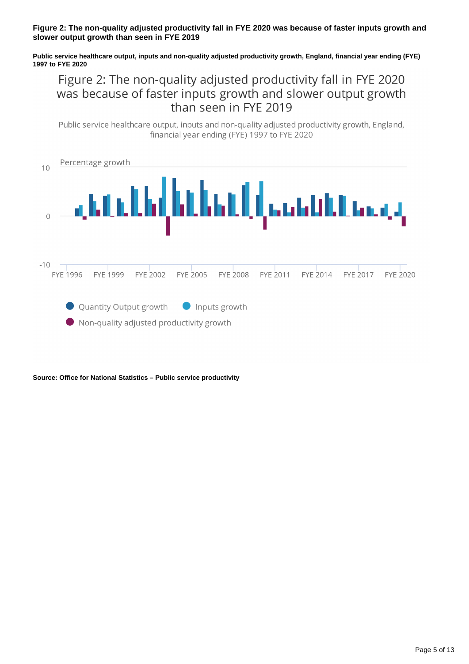#### **Figure 2: The non-quality adjusted productivity fall in FYE 2020 was because of faster inputs growth and slower output growth than seen in FYE 2019**

**Public service healthcare output, inputs and non-quality adjusted productivity growth, England, financial year ending (FYE) 1997 to FYE 2020**

Figure 2: The non-quality adjusted productivity fall in FYE 2020 was because of faster inputs growth and slower output growth than seen in FYE 2019

Public service healthcare output, inputs and non-quality adjusted productivity growth, England, financial year ending (FYE) 1997 to FYE 2020

| 10  | Percentage growth                                                                    |                 |                                 |          |                 |          |          |                 |          |
|-----|--------------------------------------------------------------------------------------|-----------------|---------------------------------|----------|-----------------|----------|----------|-----------------|----------|
|     |                                                                                      |                 | ومستشامل أبالتا فالتأر فالتأريب |          |                 |          |          |                 |          |
| -10 | FYF 1996                                                                             | <b>FYF 1999</b> | FYF 2002                        | FYF 2005 | <b>FYE 2008</b> | FYE 2011 | FYE 2014 | <b>FYE 2017</b> | FYF 2020 |
|     | • Quantity Output growth • Inputs growth<br>Non-quality adjusted productivity growth |                 |                                 |          |                 |          |          |                 |          |

**Source: Office for National Statistics – Public service productivity**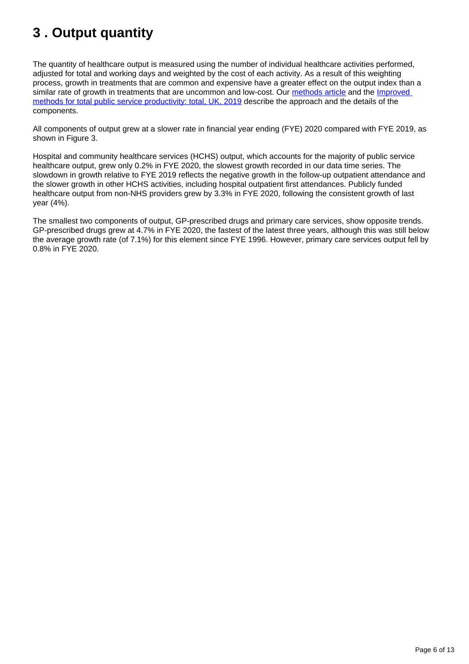# <span id="page-5-0"></span>**3 . Output quantity**

The quantity of healthcare output is measured using the number of individual healthcare activities performed, adjusted for total and working days and weighted by the cost of each activity. As a result of this weighting process, growth in treatments that are common and expensive have a greater effect on the output index than a similar rate of growth in treatments that are uncommon and low-cost. Our [methods article](https://www.ons.gov.uk/economy/economicoutputandproductivity/publicservicesproductivity/methodologies/sourcesandmethodsforpublicserviceproductivityestimates) and the Improved [methods for total public service productivity: total, UK, 2019](https://www.ons.gov.uk/economy/economicoutputandproductivity/publicservicesproductivity/methodologies/improvedmethodsfortotalpublicserviceproductivitytotaluk2019) describe the approach and the details of the components.

All components of output grew at a slower rate in financial year ending (FYE) 2020 compared with FYE 2019, as shown in Figure 3.

Hospital and community healthcare services (HCHS) output, which accounts for the majority of public service healthcare output, grew only 0.2% in FYE 2020, the slowest growth recorded in our data time series. The slowdown in growth relative to FYE 2019 reflects the negative growth in the follow-up outpatient attendance and the slower growth in other HCHS activities, including hospital outpatient first attendances. Publicly funded healthcare output from non-NHS providers grew by 3.3% in FYE 2020, following the consistent growth of last year (4%).

The smallest two components of output, GP-prescribed drugs and primary care services, show opposite trends. GP-prescribed drugs grew at 4.7% in FYE 2020, the fastest of the latest three years, although this was still below the average growth rate (of 7.1%) for this element since FYE 1996. However, primary care services output fell by 0.8% in FYE 2020.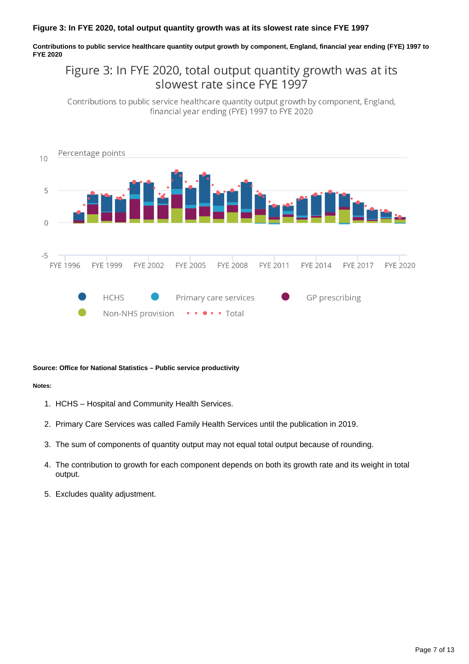#### **Figure 3: In FYE 2020, total output quantity growth was at its slowest rate since FYE 1997**

**Contributions to public service healthcare quantity output growth by component, England, financial year ending (FYE) 1997 to FYE 2020**

### Figure 3: In FYE 2020, total output quantity growth was at its slowest rate since FYF 1997

Contributions to public service healthcare quantity output growth by component, England, financial year ending (FYE) 1997 to FYE 2020



#### **Source: Office for National Statistics – Public service productivity**

#### **Notes:**

- 1. HCHS Hospital and Community Health Services.
- 2. Primary Care Services was called Family Health Services until the publication in 2019.
- 3. The sum of components of quantity output may not equal total output because of rounding.
- 4. The contribution to growth for each component depends on both its growth rate and its weight in total output.
- 5. Excludes quality adjustment.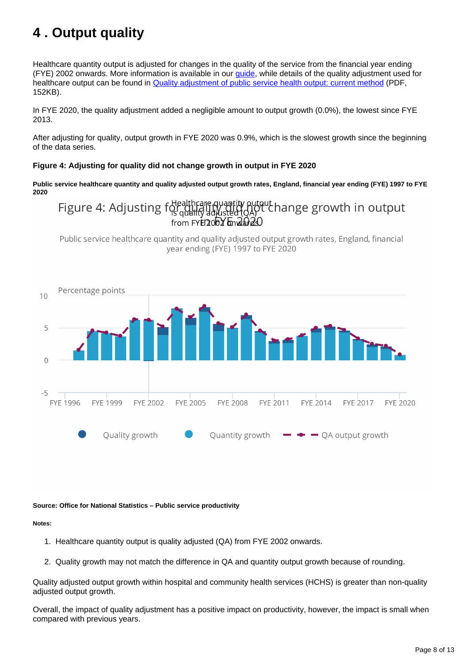# <span id="page-7-0"></span>**4 . Output quality**

Healthcare quantity output is adjusted for changes in the quality of the service from the financial year ending (FYE) 2002 onwards. More information is available in our [guide,](https://www.ons.gov.uk/economy/economicoutputandproductivity/publicservicesproductivity/articles/aguidetoqualityadjustmentinpublicserviceproductivitymeasures/2019-08-07) while details of the quality adjustment used for healthcare output can be found in [Quality adjustment of public service health output: current method](https://webarchive.nationalarchives.gov.uk/20160106223636/http:/www.ons.gov.uk/ons/guide-method/method-quality/specific/public-sector-methodology/articles/quality-adjustment-of-public-service-health-output--current-method.pdf) (PDF, 152KB).

In FYE 2020, the quality adjustment added a negligible amount to output growth (0.0%), the lowest since FYE 2013.

After adjusting for quality, output growth in FYE 2020 was 0.9%, which is the slowest growth since the beginning of the data series.

#### **Figure 4: Adjusting for quality did not change growth in output in FYE 2020**

**Public service healthcare quantity and quality adjusted output growth rates, England, financial year ending (FYE) 1997 to FYE 2020**

# Figure 4: Adjusting for deathcare quantity output hange growth in output

Public service healthcare quantity and quality adjusted output growth rates, England, financial vear ending (FYE) 1997 to FYE 2020



#### **Source: Office for National Statistics – Public service productivity**

**Notes:**

- 1. Healthcare quantity output is quality adjusted (QA) from FYE 2002 onwards.
- 2. Quality growth may not match the difference in QA and quantity output growth because of rounding.

Quality adjusted output growth within hospital and community health services (HCHS) is greater than non-quality adjusted output growth.

Overall, the impact of quality adjustment has a positive impact on productivity, however, the impact is small when compared with previous years.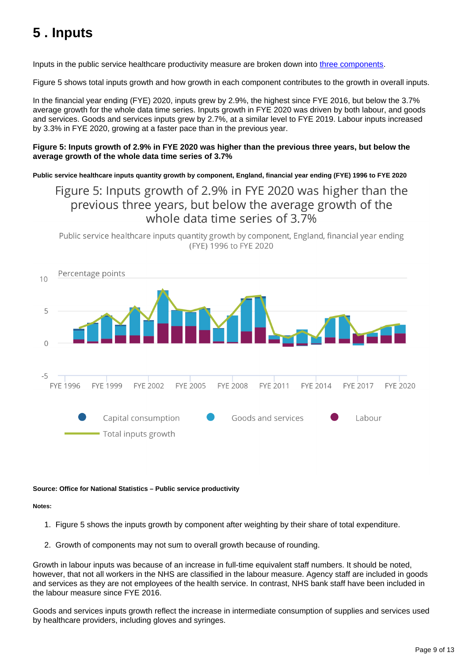# <span id="page-8-0"></span>**5 . Inputs**

Inputs in the public service healthcare productivity measure are broken down into [three components.](https://www.ons.gov.uk/economy/economicoutputandproductivity/publicservicesproductivity/methodologies/methodologicaldevelopmentstopublicserviceproductivityhealthcare2021update#brief-summary-of-public-service-healthcare-productivity)

Figure 5 shows total inputs growth and how growth in each component contributes to the growth in overall inputs.

In the financial year ending (FYE) 2020, inputs grew by 2.9%, the highest since FYE 2016, but below the 3.7% average growth for the whole data time series. Inputs growth in FYE 2020 was driven by both labour, and goods and services. Goods and services inputs grew by 2.7%, at a similar level to FYE 2019. Labour inputs increased by 3.3% in FYE 2020, growing at a faster pace than in the previous year.

#### **Figure 5: Inputs growth of 2.9% in FYE 2020 was higher than the previous three years, but below the average growth of the whole data time series of 3.7%**

**Public service healthcare inputs quantity growth by component, England, financial year ending (FYE) 1996 to FYE 2020**

### Figure 5: Inputs growth of 2.9% in FYE 2020 was higher than the previous three years, but below the average growth of the whole data time series of 3.7%

Public service healthcare inputs quantity growth by component, England, financial year ending (FYE) 1996 to FYE 2020



#### **Source: Office for National Statistics – Public service productivity**

**Notes:**

- 1. Figure 5 shows the inputs growth by component after weighting by their share of total expenditure.
- 2. Growth of components may not sum to overall growth because of rounding.

Growth in labour inputs was because of an increase in full-time equivalent staff numbers. It should be noted, however, that not all workers in the NHS are classified in the labour measure. Agency staff are included in goods and services as they are not employees of the health service. In contrast, NHS bank staff have been included in the labour measure since FYE 2016.

Goods and services inputs growth reflect the increase in intermediate consumption of supplies and services used by healthcare providers, including gloves and syringes.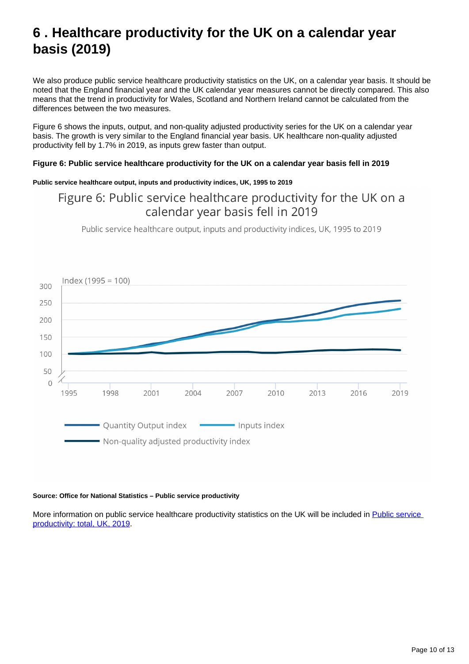# <span id="page-9-0"></span>**6 . Healthcare productivity for the UK on a calendar year basis (2019)**

We also produce public service healthcare productivity statistics on the UK, on a calendar year basis. It should be noted that the England financial year and the UK calendar year measures cannot be directly compared. This also means that the trend in productivity for Wales, Scotland and Northern Ireland cannot be calculated from the differences between the two measures.

Figure 6 shows the inputs, output, and non-quality adjusted productivity series for the UK on a calendar year basis. The growth is very similar to the England financial year basis. UK healthcare non-quality adjusted productivity fell by 1.7% in 2019, as inputs grew faster than output.

#### **Figure 6: Public service healthcare productivity for the UK on a calendar year basis fell in 2019**

#### **Public service healthcare output, inputs and productivity indices, UK, 1995 to 2019**

### Figure 6: Public service healthcare productivity for the UK on a calendar year basis fell in 2019

Public service healthcare output, inputs and productivity indices, UK, 1995 to 2019



#### **Source: Office for National Statistics – Public service productivity**

More information on public service healthcare productivity statistics on the UK will be included in Public service [productivity: total, UK, 2019](https://www.ons.gov.uk/releases/publicserviceproductivitytotaluk2019).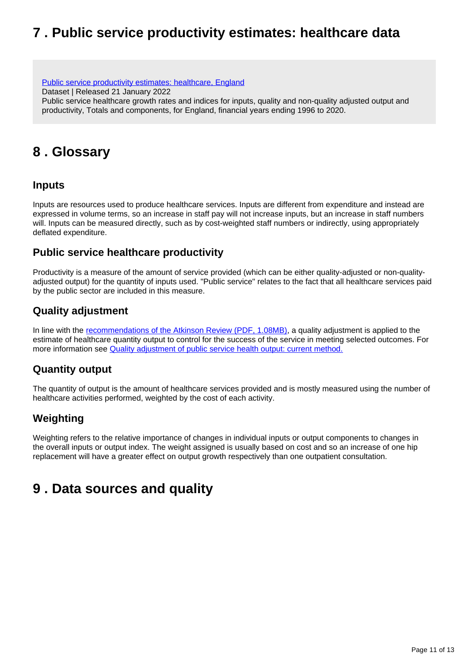# <span id="page-10-0"></span>**7 . Public service productivity estimates: healthcare data**

[Public service productivity estimates: healthcare, England](https://www.ons.gov.uk/economy/economicoutputandproductivity/publicservicesproductivity/datasets/publicserviceproductivityestimateshealthcareengland)

Dataset | Released 21 January 2022

Public service healthcare growth rates and indices for inputs, quality and non-quality adjusted output and productivity, Totals and components, for England, financial years ending 1996 to 2020.

# <span id="page-10-1"></span>**8 . Glossary**

### **Inputs**

Inputs are resources used to produce healthcare services. Inputs are different from expenditure and instead are expressed in volume terms, so an increase in staff pay will not increase inputs, but an increase in staff numbers will. Inputs can be measured directly, such as by cost-weighted staff numbers or indirectly, using appropriately deflated expenditure.

### **Public service healthcare productivity**

Productivity is a measure of the amount of service provided (which can be either quality-adjusted or non-qualityadjusted output) for the quantity of inputs used. "Public service" relates to the fact that all healthcare services paid by the public sector are included in this measure.

### **Quality adjustment**

In line with the [recommendations of the Atkinson Review \(PDF, 1.08MB\),](http://www.ons.gov.uk/ons/guide-method/method-quality/specific/public-sector-methodology/articles/atkinson-review-final-report.pdf) a quality adjustment is applied to the estimate of healthcare quantity output to control for the success of the service in meeting selected outcomes. For more information see **Quality adjustment of public service health output: current method.** 

### **Quantity output**

The quantity of output is the amount of healthcare services provided and is mostly measured using the number of healthcare activities performed, weighted by the cost of each activity.

### **Weighting**

Weighting refers to the relative importance of changes in individual inputs or output components to changes in the overall inputs or output index. The weight assigned is usually based on cost and so an increase of one hip replacement will have a greater effect on output growth respectively than one outpatient consultation.

# <span id="page-10-2"></span>**9 . Data sources and quality**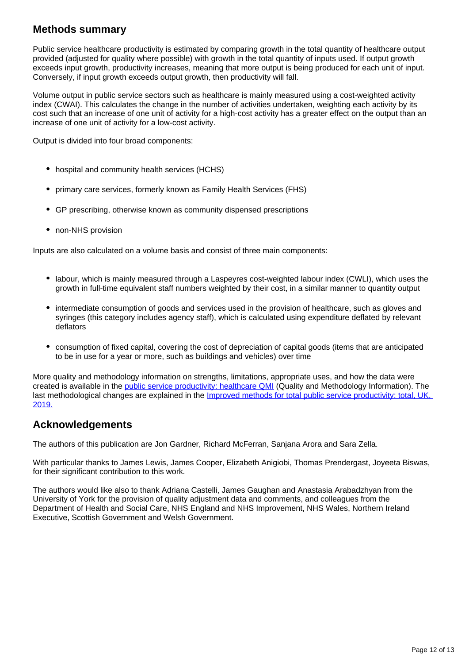### **Methods summary**

Public service healthcare productivity is estimated by comparing growth in the total quantity of healthcare output provided (adjusted for quality where possible) with growth in the total quantity of inputs used. If output growth exceeds input growth, productivity increases, meaning that more output is being produced for each unit of input. Conversely, if input growth exceeds output growth, then productivity will fall.

Volume output in public service sectors such as healthcare is mainly measured using a cost-weighted activity index (CWAI). This calculates the change in the number of activities undertaken, weighting each activity by its cost such that an increase of one unit of activity for a high-cost activity has a greater effect on the output than an increase of one unit of activity for a low-cost activity.

Output is divided into four broad components:

- hospital and community health services (HCHS)
- primary care services, formerly known as Family Health Services (FHS)
- GP prescribing, otherwise known as community dispensed prescriptions
- non-NHS provision

Inputs are also calculated on a volume basis and consist of three main components:

- labour, which is mainly measured through a Laspeyres cost-weighted labour index (CWLI), which uses the growth in full-time equivalent staff numbers weighted by their cost, in a similar manner to quantity output
- intermediate consumption of goods and services used in the provision of healthcare, such as gloves and syringes (this category includes agency staff), which is calculated using expenditure deflated by relevant deflators
- consumption of fixed capital, covering the cost of depreciation of capital goods (items that are anticipated to be in use for a year or more, such as buildings and vehicles) over time

More quality and methodology information on strengths, limitations, appropriate uses, and how the data were created is available in the **public service productivity: healthcare QMI** (Quality and Methodology Information). The last methodological changes are explained in the *Improved methods for total public service productivity: total, UK,* [2019.](https://www.ons.gov.uk/economy/economicoutputandproductivity/publicservicesproductivity/methodologies/improvedmethodsfortotalpublicserviceproductivitytotaluk2019)

### **Acknowledgements**

The authors of this publication are Jon Gardner, Richard McFerran, Sanjana Arora and Sara Zella.

With particular thanks to James Lewis, James Cooper, Elizabeth Anigiobi, Thomas Prendergast, Joyeeta Biswas, for their significant contribution to this work.

The authors would like also to thank Adriana Castelli, James Gaughan and Anastasia Arabadzhyan from the University of York for the provision of quality adjustment data and comments, and colleagues from the Department of Health and Social Care, NHS England and NHS Improvement, NHS Wales, Northern Ireland Executive, Scottish Government and Welsh Government.